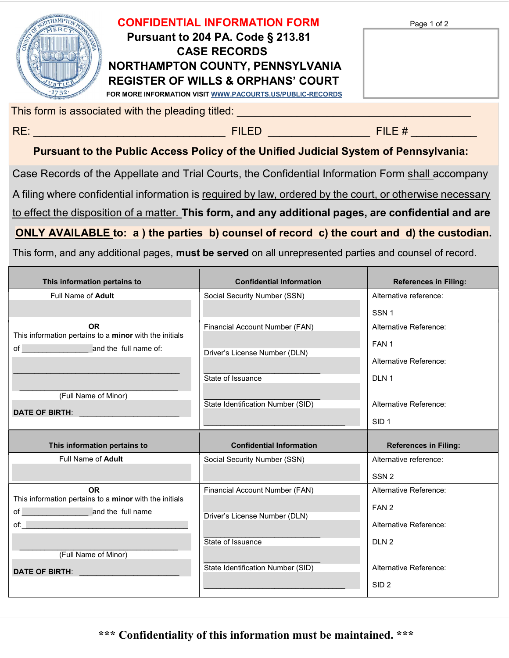|                                                   | <b>CONFIDENTIAL INFORMATION FORM</b><br><b>Pursuant to 204 PA. Code § 213.81</b><br><b>CASE RECORDS</b><br>NORTHAMPTON COUNTY, PENNSYLVANIA<br><b>REGISTER OF WILLS &amp; ORPHANS' COURT</b><br>FOR MORE INFORMATION VISIT WWW.PACOURTS.US/PUBLIC-RECORDS | Page 1 of 2 |  |  |
|---------------------------------------------------|-----------------------------------------------------------------------------------------------------------------------------------------------------------------------------------------------------------------------------------------------------------|-------------|--|--|
| This form is associated with the pleading titled: |                                                                                                                                                                                                                                                           |             |  |  |
| RE:                                               | <b>FILED</b>                                                                                                                                                                                                                                              | FILE #      |  |  |

## Pursuant to the Public Access Policy of the Unified Judicial System of Pennsylvania:

Case Records of the Appellate and Trial Courts, the Confidential Information Form shall accompany

A filing where confidential information is required by law, ordered by the court, or otherwise necessary

to effect the disposition of a matter. This form, and any additional pages, are confidential and are

ONLY AVAILABLE to: a ) the parties b) counsel of record c) the court and d) the custodian.

This form, and any additional pages, must be served on all unrepresented parties and counsel of record.

| This information pertains to                                                                                                                                                                                                   | <b>Confidential Information</b>   | <b>References in Filing:</b> |
|--------------------------------------------------------------------------------------------------------------------------------------------------------------------------------------------------------------------------------|-----------------------------------|------------------------------|
| Full Name of Adult                                                                                                                                                                                                             | Social Security Number (SSN)      | Alternative reference:       |
|                                                                                                                                                                                                                                |                                   | SSN <sub>1</sub>             |
| <b>OR</b><br>This information pertains to a minor with the initials                                                                                                                                                            | Financial Account Number (FAN)    | Alternative Reference:       |
|                                                                                                                                                                                                                                | Driver's License Number (DLN)     | FAN <sub>1</sub>             |
|                                                                                                                                                                                                                                |                                   | Alternative Reference:       |
|                                                                                                                                                                                                                                | State of Issuance                 | DLN <sub>1</sub>             |
| (Full Name of Minor)                                                                                                                                                                                                           |                                   |                              |
| <b>DATE OF BIRTH:</b>                                                                                                                                                                                                          | State Identification Number (SID) | Alternative Reference:       |
|                                                                                                                                                                                                                                |                                   | SID <sub>1</sub>             |
|                                                                                                                                                                                                                                |                                   |                              |
| This information pertains to                                                                                                                                                                                                   | <b>Confidential Information</b>   | <b>References in Filing:</b> |
| Full Name of Adult                                                                                                                                                                                                             | Social Security Number (SSN)      | Alternative reference:       |
|                                                                                                                                                                                                                                |                                   | SSN <sub>2</sub>             |
| <b>OR</b>                                                                                                                                                                                                                      | Financial Account Number (FAN)    | Alternative Reference:       |
| This information pertains to a minor with the initials                                                                                                                                                                         |                                   | FAN <sub>2</sub>             |
| of <b>contract and the full name</b><br>of: where the contract of the contract of the contract of the contract of the contract of the contract of the                                                                          | Driver's License Number (DLN)     | Alternative Reference:       |
|                                                                                                                                                                                                                                | State of Issuance                 | DLN <sub>2</sub>             |
| (Full Name of Minor)                                                                                                                                                                                                           |                                   |                              |
| DATE OF BIRTH: The contract of the contract of the contract of the contract of the contract of the contract of the contract of the contract of the contract of the contract of the contract of the contract of the contract of | State Identification Number (SID) | Alternative Reference:       |